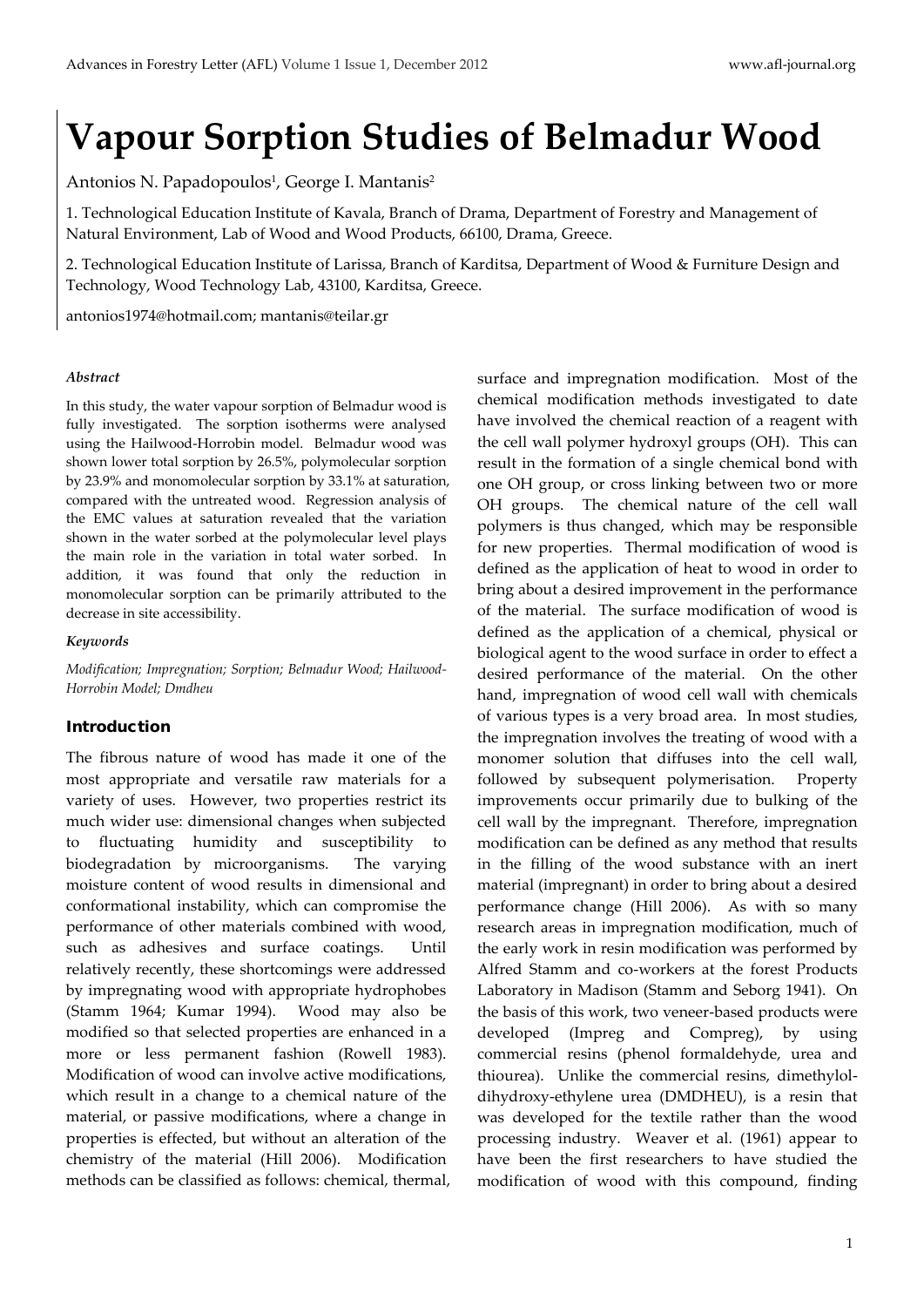# **Vapour Sorption Studies of Belmadur Wood**

Antonios N. Papadopoulos<sup>1</sup>, George I. Mantanis<sup>2</sup>

1. Technological Education Institute of Kavala, Branch of Drama, Department of Forestry and Management of Natural Environment, Lab of Wood and Wood Products, 66100, Drama, Greece.

2. Technological Education Institute of Larissa, Branch of Karditsa, Department of Wood & Furniture Design and Technology, Wood Technology Lab, 43100, Karditsa, Greece.

[antonios1974@hotmail.com;](mailto:antonios1974@hotmail.com) mantanis@teilar.gr

#### *Abstract*

In this study, the water vapour sorption of Belmadur wood is fully investigated. The sorption isotherms were analysed using the Hailwood-Horrobin model. Belmadur wood was shown lower total sorption by 26.5%, polymolecular sorption by 23.9% and monomolecular sorption by 33.1% at saturation, compared with the untreated wood. Regression analysis of the EMC values at saturation revealed that the variation shown in the water sorbed at the polymolecular level plays the main role in the variation in total water sorbed. In addition, it was found that only the reduction in monomolecular sorption can be primarily attributed to the decrease in site accessibility.

#### *Keywords*

*Modification; Impregnation; Sorption; Belmadur Wood; Hailwood-Horrobin Model; Dmdheu*

#### Introduction

The fibrous nature of wood has made it one of the most appropriate and versatile raw materials for a variety of uses. However, two properties restrict its much wider use: dimensional changes when subjected to fluctuating humidity and susceptibility to biodegradation by microorganisms. The varying moisture content of wood results in dimensional and conformational instability, which can compromise the performance of other materials combined with wood, such as adhesives and surface coatings. Until relatively recently, these shortcomings were addressed by impregnating wood with appropriate hydrophobes (Stamm 1964; Kumar 1994). Wood may also be modified so that selected properties are enhanced in a more or less permanent fashion (Rowell 1983). Modification of wood can involve active modifications, which result in a change to a chemical nature of the material, or passive modifications, where a change in properties is effected, but without an alteration of the chemistry of the material (Hill 2006). Modification methods can be classified as follows: chemical, thermal, surface and impregnation modification. Most of the chemical modification methods investigated to date have involved the chemical reaction of a reagent with the cell wall polymer hydroxyl groups (OH). This can result in the formation of a single chemical bond with one OH group, or cross linking between two or more OH groups. The chemical nature of the cell wall polymers is thus changed, which may be responsible for new properties. Thermal modification of wood is defined as the application of heat to wood in order to bring about a desired improvement in the performance of the material. The surface modification of wood is defined as the application of a chemical, physical or biological agent to the wood surface in order to effect a desired performance of the material. On the other hand, impregnation of wood cell wall with chemicals of various types is a very broad area. In most studies, the impregnation involves the treating of wood with a monomer solution that diffuses into the cell wall, followed by subsequent polymerisation. Property improvements occur primarily due to bulking of the cell wall by the impregnant. Therefore, impregnation modification can be defined as any method that results in the filling of the wood substance with an inert material (impregnant) in order to bring about a desired performance change (Hill 2006). As with so many research areas in impregnation modification, much of the early work in resin modification was performed by Alfred Stamm and co-workers at the forest Products Laboratory in Madison (Stamm and Seborg 1941). On the basis of this work, two veneer-based products were developed (Impreg and Compreg), by using commercial resins (phenol formaldehyde, urea and thiourea). Unlike the commercial resins, dimethyloldihydroxy-ethylene urea (DMDHEU), is a resin that was developed for the textile rather than the wood processing industry. Weaver et al. (1961) appear to have been the first researchers to have studied the modification of wood with this compound, finding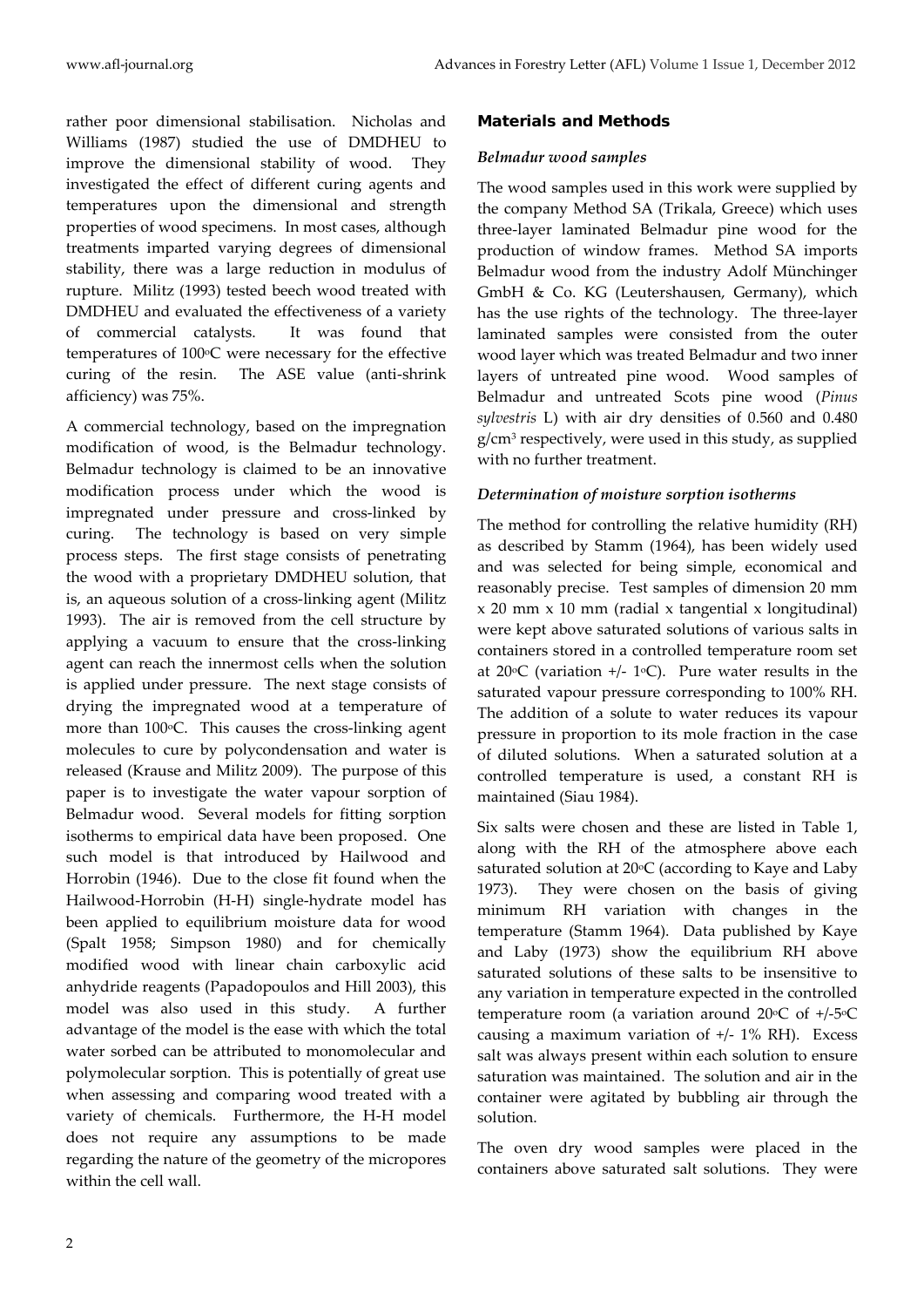rather poor dimensional stabilisation. Nicholas and Williams (1987) studied the use of DMDHEU to improve the dimensional stability of wood. They investigated the effect of different curing agents and temperatures upon the dimensional and strength properties of wood specimens. In most cases, although treatments imparted varying degrees of dimensional stability, there was a large reduction in modulus of rupture. Militz (1993) tested beech wood treated with DMDHEU and evaluated the effectiveness of a variety of commercial catalysts. It was found that temperatures of  $100^{\circ}$ C were necessary for the effective curing of the resin. The ASE value (anti-shrink afficiency) was 75%.

A commercial technology, based on the impregnation modification of wood, is the Belmadur technology. Belmadur technology is claimed to be an innovative modification process under which the wood is impregnated under pressure and cross-linked by curing. The technology is based on very simple process steps. The first stage consists of penetrating the wood with a proprietary DMDHEU solution, that is, an aqueous solution of a cross-linking agent (Militz 1993). The air is removed from the cell structure by applying a vacuum to ensure that the cross-linking agent can reach the innermost cells when the solution is applied under pressure. The next stage consists of drying the impregnated wood at a temperature of more than  $100^{\circ}$ C. This causes the cross-linking agent molecules to cure by polycondensation and water is released (Krause and Militz 2009). The purpose of this paper is to investigate the water vapour sorption of Belmadur wood. Several models for fitting sorption isotherms to empirical data have been proposed. One such model is that introduced by Hailwood and Horrobin (1946). Due to the close fit found when the Hailwood-Horrobin (H-H) single-hydrate model has been applied to equilibrium moisture data for wood (Spalt 1958; Simpson 1980) and for chemically modified wood with linear chain carboxylic acid anhydride reagents (Papadopoulos and Hill 2003), this model was also used in this study. A further advantage of the model is the ease with which the total water sorbed can be attributed to monomolecular and polymolecular sorption. This is potentially of great use when assessing and comparing wood treated with a variety of chemicals. Furthermore, the H-H model does not require any assumptions to be made regarding the nature of the geometry of the micropores within the cell wall.

## Materials and Methods

## *Belmadur wood samples*

The wood samples used in this work were supplied by the company Method SA (Trikala, Greece) which uses three-layer laminated Belmadur pine wood for the production of window frames. Method SA imports Belmadur wood from the industry Adolf Münchinger GmbH & Co. KG (Leutershausen, Germany), which has the use rights of the technology. The three-layer laminated samples were consisted from the outer wood layer which was treated Belmadur and two inner layers of untreated pine wood. Wood samples of Belmadur and untreated Scots pine wood (*Pinus sylvestris* L) with air dry densities of 0.560 and 0.480 g/cm3 respectively, were used in this study, as supplied with no further treatment.

## *Determination of moisture sorption isotherms*

The method for controlling the relative humidity (RH) as described by Stamm (1964), has been widely used and was selected for being simple, economical and reasonably precise. Test samples of dimension 20 mm  $x$  20 mm  $x$  10 mm (radial x tangential x longitudinal) were kept above saturated solutions of various salts in containers stored in a controlled temperature room set at 20 $\degree$ C (variation +/- 1 $\degree$ C). Pure water results in the saturated vapour pressure corresponding to 100% RH. The addition of a solute to water reduces its vapour pressure in proportion to its mole fraction in the case of diluted solutions. When a saturated solution at a controlled temperature is used, a constant RH is maintained (Siau 1984).

Six salts were chosen and these are listed in Table 1, along with the RH of the atmosphere above each saturated solution at 20°C (according to Kaye and Laby 1973). They were chosen on the basis of giving minimum RH variation with changes in the temperature (Stamm 1964). Data published by Kaye and Laby (1973) show the equilibrium RH above saturated solutions of these salts to be insensitive to any variation in temperature expected in the controlled temperature room (a variation around 20 $\mathrm{^{\circ}C}$  of +/-5 $\mathrm{^{\circ}C}$ causing a maximum variation of  $+/$ - 1% RH). Excess salt was always present within each solution to ensure saturation was maintained. The solution and air in the container were agitated by bubbling air through the solution.

The oven dry wood samples were placed in the containers above saturated salt solutions. They were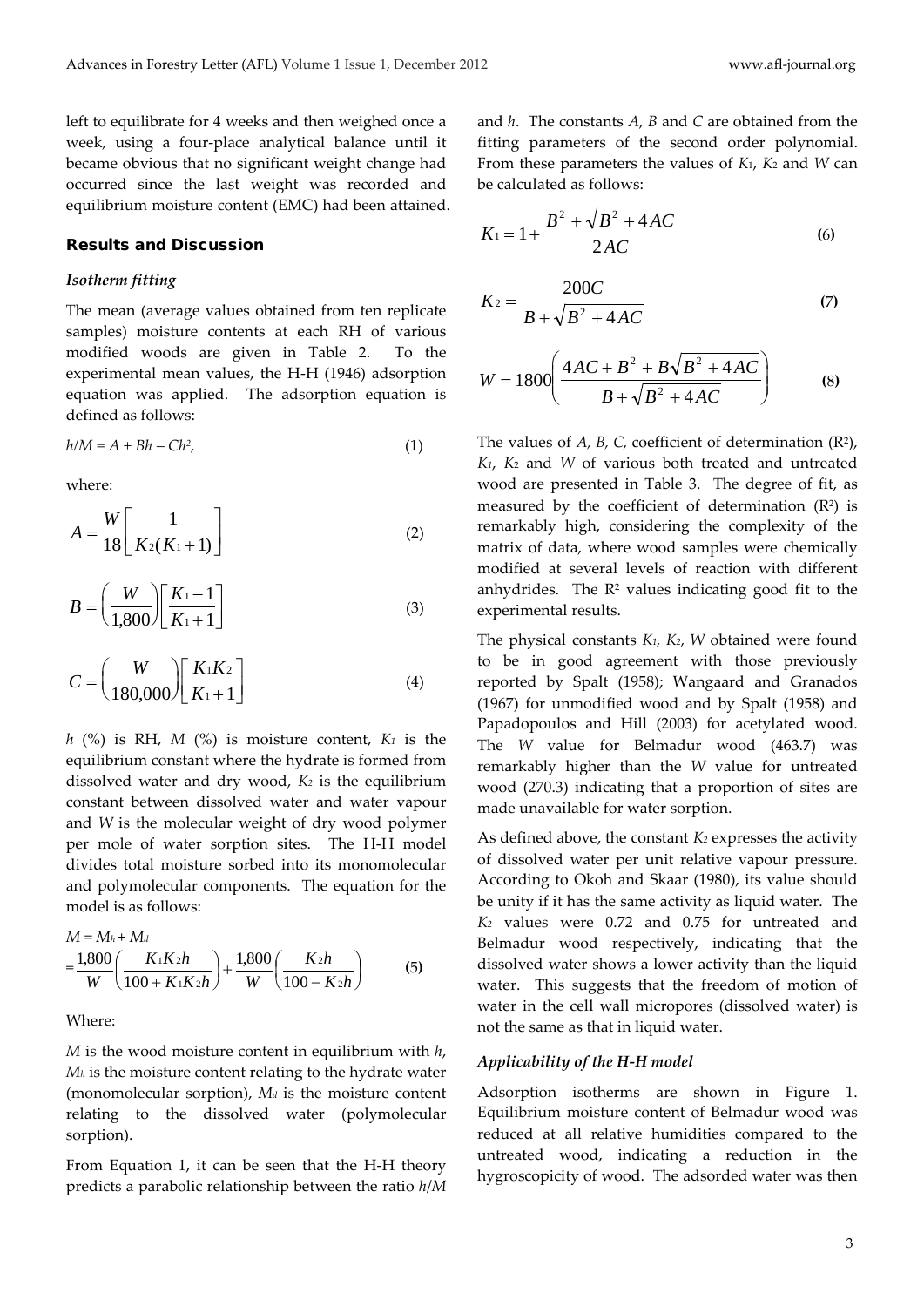left to equilibrate for 4 weeks and then weighed once a week, using a four-place analytical balance until it became obvious that no significant weight change had occurred since the last weight was recorded and equilibrium moisture content (EMC) had been attained.

#### Results and Discussion

#### *Isotherm fitting*

The mean (average values obtained from ten replicate samples) moisture contents at each RH of various modified woods are given in Table 2. To the experimental mean values, the H-H (1946) adsorption equation was applied. The adsorption equation is defined as follows:

$$
h/M = A + Bh - Ch^2,\tag{1}
$$

where:

$$
A = \frac{W}{18} \left[ \frac{1}{K_2(K_1 + 1)} \right]
$$
 (2)

$$
B = \left(\frac{W}{1,800}\right) \left[\frac{K_1 - 1}{K_1 + 1}\right]
$$
 (3)

$$
C = \left(\frac{W}{180,000}\right) \left[\frac{K_1 K_2}{K_1 + 1}\right]
$$
\n(4)

*h*  $(\%)$  is RH, *M*  $(\%)$  is moisture content,  $K_1$  is the equilibrium constant where the hydrate is formed from dissolved water and dry wood, *K2* is the equilibrium constant between dissolved water and water vapour and *W* is the molecular weight of dry wood polymer per mole of water sorption sites. The H-H model divides total moisture sorbed into its monomolecular and polymolecular components. The equation for the model is as follows:

$$
M = M_h + M_d
$$
  
=  $\frac{1,800}{W} \left( \frac{K_1 K_2 h}{100 + K_1 K_2 h} \right) + \frac{1,800}{W} \left( \frac{K_2 h}{100 - K_2 h} \right)$  (5)

Where:

*M* is the wood moisture content in equilibrium with *h*, *Mh* is the moisture content relating to the hydrate water (monomolecular sorption), *Md* is the moisture content relating to the dissolved water (polymolecular sorption).

From Equation 1, it can be seen that the H-H theory predicts a parabolic relationship between the ratio *h*/*M* and *h*. The constants *A*, *B* and *C* are obtained from the fitting parameters of the second order polynomial. From these parameters the values of *K*1, *K*<sup>2</sup> and *W* can be calculated as follows:

$$
K_1 = 1 + \frac{B^2 + \sqrt{B^2 + 4AC}}{2AC}
$$
 (6)

$$
K_2 = \frac{200C}{B + \sqrt{B^2 + 4AC}}
$$
 (7)

$$
W = 1800 \left( \frac{4AC + B^2 + B\sqrt{B^2 + 4AC}}{B + \sqrt{B^2 + 4AC}} \right)
$$
 (8)

The values of  $A$ ,  $B$ ,  $C$ , coefficient of determination  $(R^2)$ , *K1*, *K*<sup>2</sup> and *W* of various both treated and untreated wood are presented in Table 3. The degree of fit, as measured by the coefficient of determination  $(R^2)$  is remarkably high, considering the complexity of the matrix of data, where wood samples were chemically modified at several levels of reaction with different anhydrides. The  $\mathbb{R}^2$  values indicating good fit to the experimental results.

The physical constants *K1, K2, W* obtained were found to be in good agreement with those previously reported by Spalt (1958); Wangaard and Granados (1967) for unmodified wood and by Spalt (1958) and Papadopoulos and Hill (2003) for acetylated wood. The *W* value for Belmadur wood (463.7) was remarkably higher than the *W* value for untreated wood (270.3) indicating that a proportion of sites are made unavailable for water sorption.

As defined above, the constant *K2* expresses the activity of dissolved water per unit relative vapour pressure. According to Okoh and Skaar (1980), its value should be unity if it has the same activity as liquid water. The *K2* values were 0.72 and 0.75 for untreated and Belmadur wood respectively, indicating that the dissolved water shows a lower activity than the liquid water. This suggests that the freedom of motion of water in the cell wall micropores (dissolved water) is not the same as that in liquid water.

#### *Applicability of the H-H model*

Adsorption isotherms are shown in Figure 1. Equilibrium moisture content of Belmadur wood was reduced at all relative humidities compared to the untreated wood, indicating a reduction in the hygroscopicity of wood. The adsorded water was then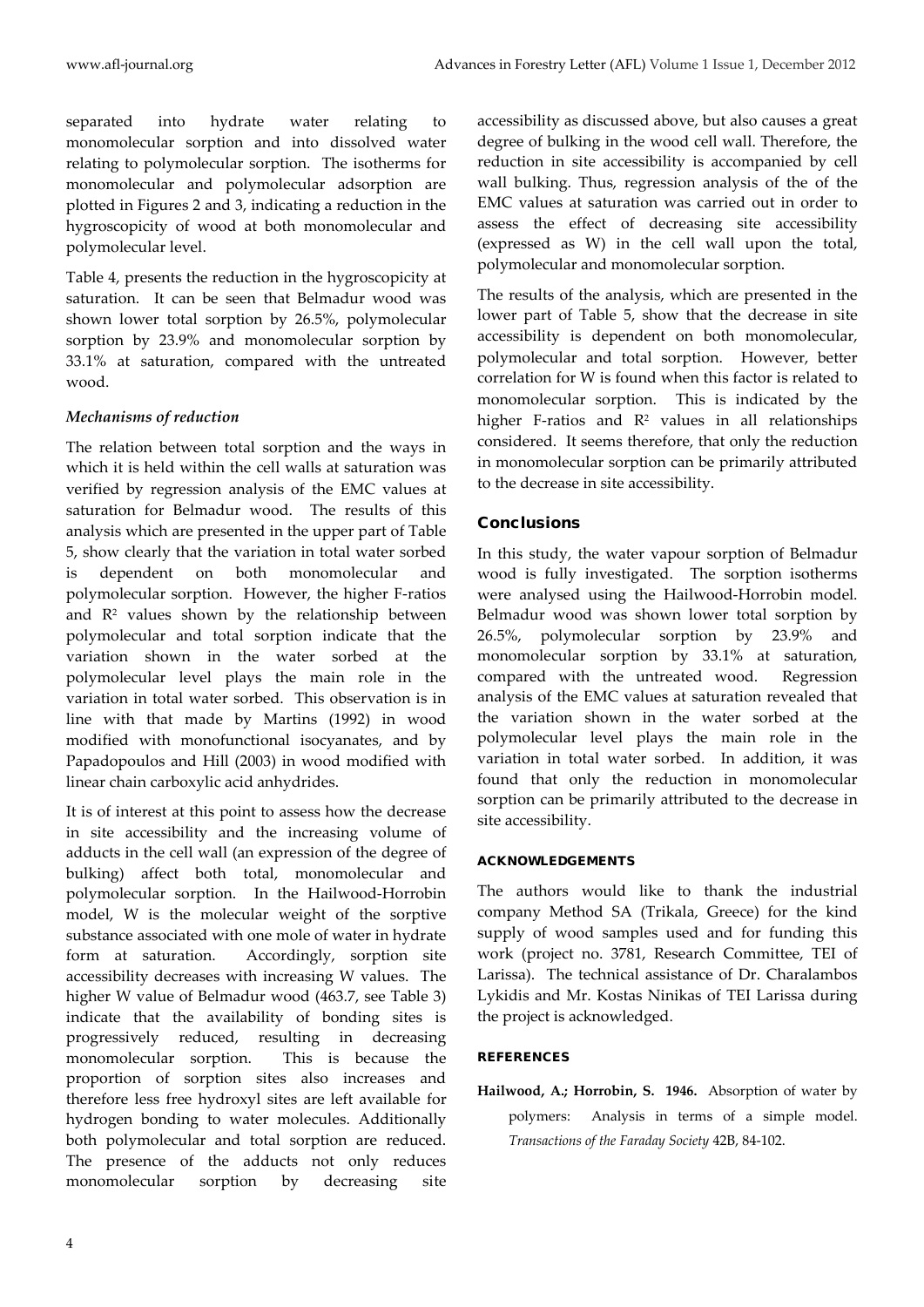separated into hydrate water relating to monomolecular sorption and into dissolved water relating to polymolecular sorption. The isotherms for monomolecular and polymolecular adsorption are plotted in Figures 2 and 3, indicating a reduction in the hygroscopicity of wood at both monomolecular and polymolecular level.

Table 4, presents the reduction in the hygroscopicity at saturation. It can be seen that Belmadur wood was shown lower total sorption by 26.5%, polymolecular sorption by 23.9% and monomolecular sorption by 33.1% at saturation, compared with the untreated wood.

## *Mechanisms of reduction*

The relation between total sorption and the ways in which it is held within the cell walls at saturation was verified by regression analysis of the EMC values at saturation for Belmadur wood. The results of this analysis which are presented in the upper part of Table 5, show clearly that the variation in total water sorbed is dependent on both monomolecular and polymolecular sorption. However, the higher F-ratios and  $\mathbb{R}^2$  values shown by the relationship between polymolecular and total sorption indicate that the variation shown in the water sorbed at the polymolecular level plays the main role in the variation in total water sorbed. This observation is in line with that made by Martins (1992) in wood modified with monofunctional isocyanates, and by Papadopoulos and Hill (2003) in wood modified with linear chain carboxylic acid anhydrides.

It is of interest at this point to assess how the decrease in site accessibility and the increasing volume of adducts in the cell wall (an expression of the degree of bulking) affect both total, monomolecular and polymolecular sorption. In the Hailwood-Horrobin model, W is the molecular weight of the sorptive substance associated with one mole of water in hydrate form at saturation. Accordingly, sorption site accessibility decreases with increasing W values. The higher W value of Belmadur wood (463.7, see Table 3) indicate that the availability of bonding sites is progressively reduced, resulting in decreasing monomolecular sorption. This is because the proportion of sorption sites also increases and therefore less free hydroxyl sites are left available for hydrogen bonding to water molecules. Additionally both polymolecular and total sorption are reduced. The presence of the adducts not only reduces monomolecular sorption by decreasing site

accessibility as discussed above, but also causes a great degree of bulking in the wood cell wall. Therefore, the reduction in site accessibility is accompanied by cell wall bulking. Thus, regression analysis of the of the EMC values at saturation was carried out in order to assess the effect of decreasing site accessibility (expressed as W) in the cell wall upon the total, polymolecular and monomolecular sorption.

The results of the analysis, which are presented in the lower part of Table 5, show that the decrease in site accessibility is dependent on both monomolecular, polymolecular and total sorption. However, better correlation for W is found when this factor is related to monomolecular sorption. This is indicated by the higher F-ratios and  $R^2$  values in all relationships considered. It seems therefore, that only the reduction in monomolecular sorption can be primarily attributed to the decrease in site accessibility.

# **Conclusions**

In this study, the water vapour sorption of Belmadur wood is fully investigated. The sorption isotherms were analysed using the Hailwood-Horrobin model. Belmadur wood was shown lower total sorption by 26.5%, polymolecular sorption by 23.9% and monomolecular sorption by 33.1% at saturation, compared with the untreated wood. Regression analysis of the EMC values at saturation revealed that the variation shown in the water sorbed at the polymolecular level plays the main role in the variation in total water sorbed. In addition, it was found that only the reduction in monomolecular sorption can be primarily attributed to the decrease in site accessibility.

## ACKNOWLEDGEMENTS

The authors would like to thank the industrial company Method SA (Trikala, Greece) for the kind supply of wood samples used and for funding this work (project no. 3781, Research Committee, TEI of Larissa). The technical assistance of Dr. Charalambos Lykidis and Mr. Kostas Ninikas of TEI Larissa during the project is acknowledged.

# **REFERENCES**

**Hailwood, A.; Horrobin, S. 1946.** Absorption of water by polymers: Analysis in terms of a simple model. *Transactions of the Faraday Society* 42B, 84-102.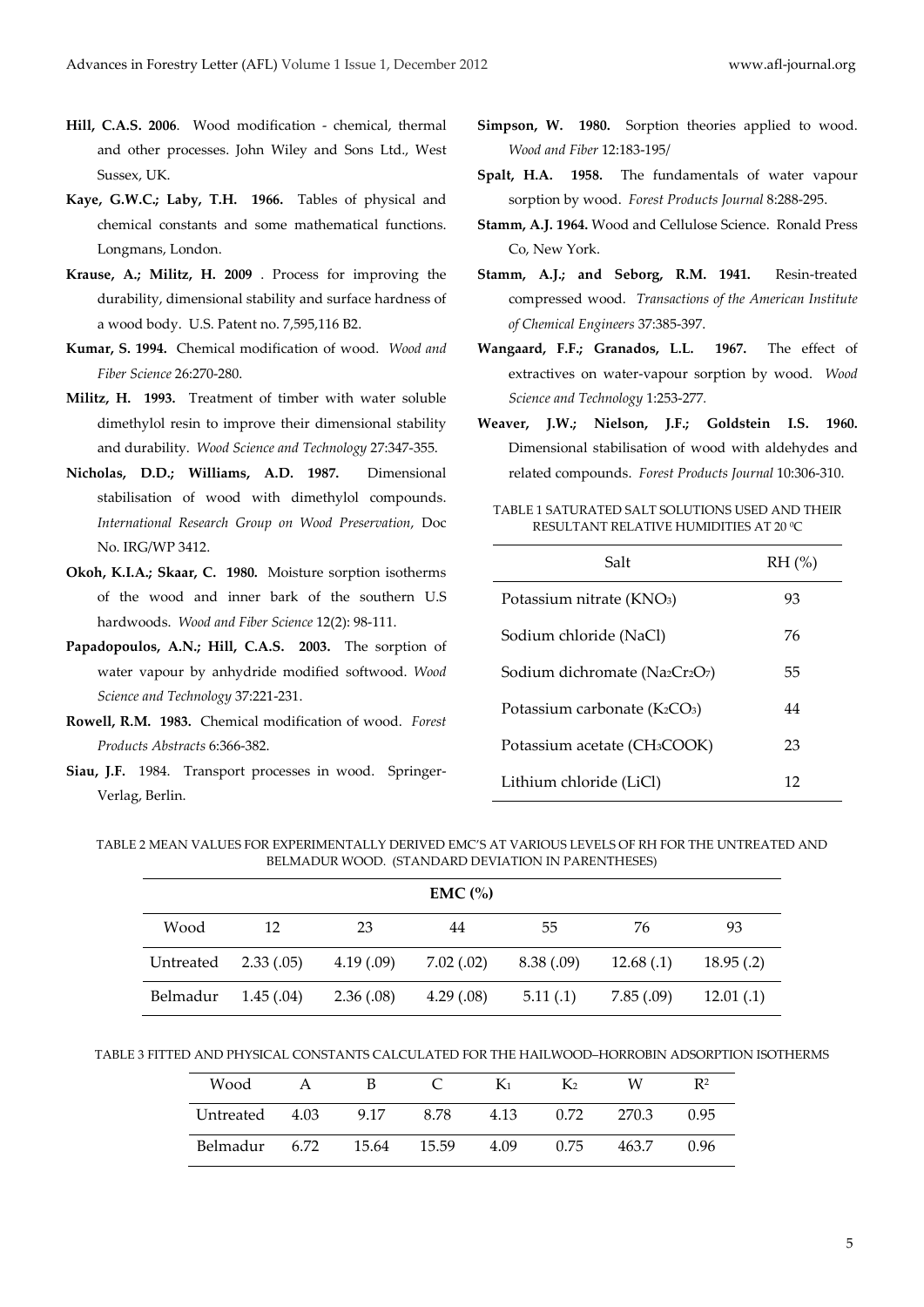- **Hill, C.A.S. 2006**. Wood modification chemical, thermal and other processes. John Wiley and Sons Ltd., West Sussex, UK.
- **Kaye, G.W.C.; Laby, T.H. 1966.** Tables of physical and chemical constants and some mathematical functions. Longmans, London.
- **Krause, A.; Militz, H. 2009** . Process for improving the durability, dimensional stability and surface hardness of a wood body. U.S. Patent no. 7,595,116 B2.
- **Kumar, S. 1994.** Chemical modification of wood. *Wood and Fiber Science* 26:270-280.
- **Militz, H. 1993.** Treatment of timber with water soluble dimethylol resin to improve their dimensional stability and durability. *Wood Science and Technology* 27:347-355.
- **Nicholas, D.D.; Williams, A.D. 1987.** Dimensional stabilisation of wood with dimethylol compounds. *International Research Group on Wood Preservation*, Doc No. IRG/WP 3412.
- **Okoh, K.I.A.; Skaar, C. 1980.** Moisture sorption isotherms of the wood and inner bark of the southern U.S hardwoods. *Wood and Fiber Science* 12(2): 98-111.
- **Papadopoulos, A.N.; Hill, C.A.S. 2003.** The sorption of water vapour by anhydride modified softwood. *Wood Science and Technology* 37:221-231.
- **Rowell, R.M. 1983.** Chemical modification of wood. *Forest Products Abstracts* 6:366-382.
- **Siau, J.F.** 1984. Transport processes in wood. Springer-Verlag, Berlin.
- **Simpson, W. 1980.** Sorption theories applied to wood. *Wood and Fiber* 12:183-195/
- **Spalt, H.A. 1958.** The fundamentals of water vapour sorption by wood. *Forest Products Journal* 8:288-295.
- **Stamm, A.J. 1964.** Wood and Cellulose Science. Ronald Press Co, New York.
- **Stamm, A.J.; and Seborg, R.M. 1941.** Resin-treated compressed wood. *Transactions of the American Institute of Chemical Engineers* 37:385-397.
- **Wangaard, F.F.; Granados, L.L. 1967.** The effect of extractives on water-vapour sorption by wood. *Wood Science and Technology* 1:253-277*.*
- **Weaver, J.W.; Nielson, J.F.; Goldstein I.S. 1960.**  Dimensional stabilisation of wood with aldehydes and related compounds. *Forest Products Journal* 10:306-310.

TABLE 1 SATURATED SALT SOLUTIONS USED AND THEIR RESULTANT RELATIVE HUMIDITIES AT 20 0C

| Salt                                     | $RH$ $(\%)$ |
|------------------------------------------|-------------|
| Potassium nitrate (KNO <sub>3</sub> )    | 93          |
| Sodium chloride (NaCl)                   | 76          |
| Sodium dichromate (Na2Cr2O7)             | 55          |
| Potassium carbonate $(K_2CO_3)$          | 44          |
| Potassium acetate (CH <sub>3</sub> COOK) | 23          |
| Lithium chloride (LiCl)                  | 12          |

TABLE 2 MEAN VALUES FOR EXPERIMENTALLY DERIVED EMC'S AT VARIOUS LEVELS OF RH FOR THE UNTREATED AND BELMADUR WOOD. (STANDARD DEVIATION IN PARENTHESES)

| $EMC$ $\left(\% \right)$ |           |            |           |           |            |            |
|--------------------------|-----------|------------|-----------|-----------|------------|------------|
| Wood                     | 12        | 23         | 44        | 55        | 76         | 93         |
| Untreated                | 2.33(.05) | 4.19(0.09) | 7.02(.02) | 8.38(.09) | 12.68(0.1) | 18.95(0.2) |
| Belmadur                 | 1.45(.04) | 2.36(.08)  | 4.29(.08) | 5.11(.1)  | 7.85(.09)  | 12.01(0.1) |

TABLE 3 FITTED AND PHYSICAL CONSTANTS CALCULATED FOR THE HAILWOOD–HORROBIN ADSORPTION ISOTHERMS

| Wood      |      | В     |       | $K_1$ | K <sub>2</sub> | W     | R <sup>2</sup> |
|-----------|------|-------|-------|-------|----------------|-------|----------------|
| Untreated | 4.03 | 9.17  | 8.78  | 4.13  | 0.72           | 270.3 | 0.95           |
| Belmadur  | 6.72 | 15.64 | 15.59 | 4.09  | 0.75           | 463.7 | 0.96           |